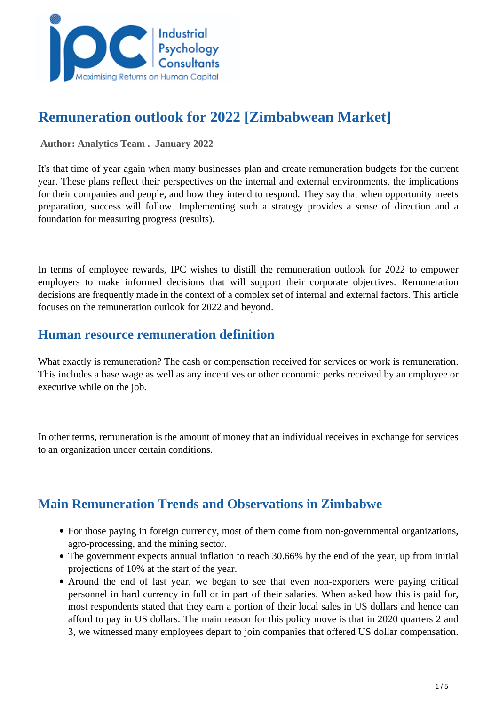

# **Remuneration outlook for 2022 [Zimbabwean Market]**

 **Author: Analytics Team . January 2022** 

It's that time of year again when many businesses plan and create remuneration budgets for the current year. These plans reflect their perspectives on the internal and external environments, the implications for their companies and people, and how they intend to respond. They say that when opportunity meets preparation, success will follow. Implementing such a strategy provides a sense of direction and a foundation for measuring progress (results).

In terms of employee rewards, IPC wishes to distill the remuneration outlook for 2022 to empower employers to make informed decisions that will support their corporate objectives. Remuneration decisions are frequently made in the context of a complex set of internal and external factors. This article focuses on the remuneration outlook for 2022 and beyond.

## **Human resource remuneration definition**

What exactly is remuneration? The cash or compensation received for services or work is remuneration. This includes a base wage as well as any incentives or other economic perks received by an employee or executive while on the job.

In other terms, remuneration is the amount of money that an individual receives in exchange for services to an organization under certain conditions.

## **Main Remuneration Trends and Observations in Zimbabwe**

- For those paying in foreign currency, most of them come from non-governmental organizations, agro-processing, and the mining sector.
- The government expects annual inflation to reach 30.66% by the end of the year, up from initial projections of 10% at the start of the year.
- Around the end of last year, we began to see that even non-exporters were paying critical personnel in hard currency in full or in part of their salaries. When asked how this is paid for, most respondents stated that they earn a portion of their local sales in US dollars and hence can afford to pay in US dollars. The main reason for this policy move is that in 2020 quarters 2 and 3, we witnessed many employees depart to join companies that offered US dollar compensation.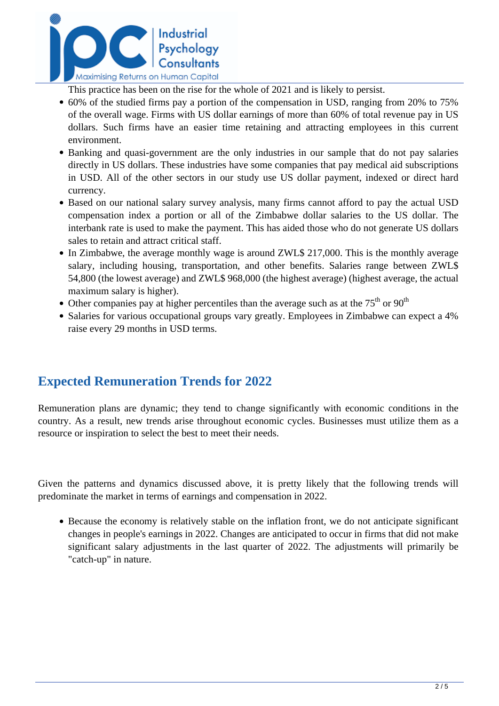

This practice has been on the rise for the whole of 2021 and is likely to persist.

- 60% of the studied firms pay a portion of the compensation in USD, ranging from 20% to 75% of the overall wage. Firms with US dollar earnings of more than 60% of total revenue pay in US dollars. Such firms have an easier time retaining and attracting employees in this current environment.
- Banking and quasi-government are the only industries in our sample that do not pay salaries directly in US dollars. These industries have some companies that pay medical aid subscriptions in USD. All of the other sectors in our study use US dollar payment, indexed or direct hard currency.
- Based on our national salary survey analysis, many firms cannot afford to pay the actual USD compensation index a portion or all of the Zimbabwe dollar salaries to the US dollar. The interbank rate is used to make the payment. This has aided those who do not generate US dollars sales to retain and attract critical staff.
- In Zimbabwe, the average monthly wage is around ZWL\$ 217,000. This is the monthly average salary, including housing, transportation, and other benefits. Salaries range between ZWL\$ 54,800 (the lowest average) and ZWL\$ 968,000 (the highest average) (highest average, the actual maximum salary is higher).
- Other companies pay at higher percentiles than the average such as at the  $75<sup>th</sup>$  or  $90<sup>th</sup>$
- Salaries for various occupational groups vary greatly. Employees in Zimbabwe can expect a 4% raise every 29 months in USD terms.

## **Expected Remuneration Trends for 2022**

Remuneration plans are dynamic; they tend to change significantly with economic conditions in the country. As a result, new trends arise throughout economic cycles. Businesses must utilize them as a resource or inspiration to select the best to meet their needs.

Given the patterns and dynamics discussed above, it is pretty likely that the following trends will predominate the market in terms of earnings and compensation in 2022.

Because the economy is relatively stable on the inflation front, we do not anticipate significant changes in people's earnings in 2022. Changes are anticipated to occur in firms that did not make significant salary adjustments in the last quarter of 2022. The adjustments will primarily be "catch-up" in nature.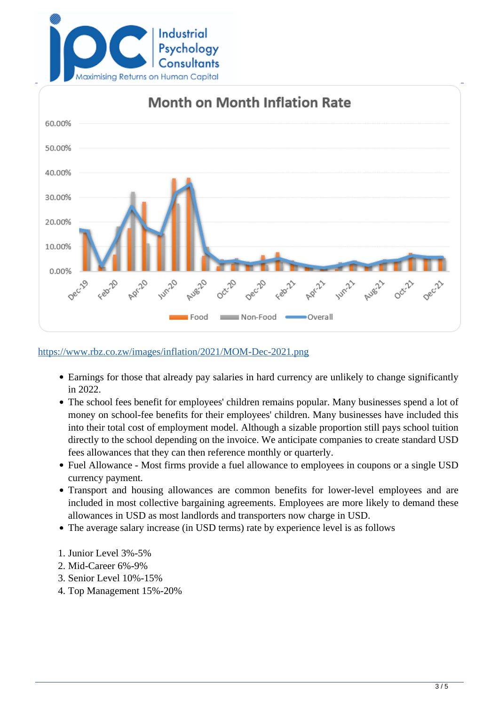



#### <https://www.rbz.co.zw/images/inflation/2021/MOM-Dec-2021.png>

- Earnings for those that already pay salaries in hard currency are unlikely to change significantly in 2022.
- The school fees benefit for employees' children remains popular. Many businesses spend a lot of money on school-fee benefits for their employees' children. Many businesses have included this into their total cost of employment model. Although a sizable proportion still pays school tuition directly to the school depending on the invoice. We anticipate companies to create standard USD fees allowances that they can then reference monthly or quarterly.
- Fuel Allowance Most firms provide a fuel allowance to employees in coupons or a single USD currency payment.
- Transport and housing allowances are common benefits for lower-level employees and are included in most collective bargaining agreements. Employees are more likely to demand these allowances in USD as most landlords and transporters now charge in USD.
- The average salary increase (in USD terms) rate by experience level is as follows
- 1. Junior Level 3%-5%
- 2. Mid-Career 6%-9%
- 3. Senior Level 10%-15%
- 4. Top Management 15%-20%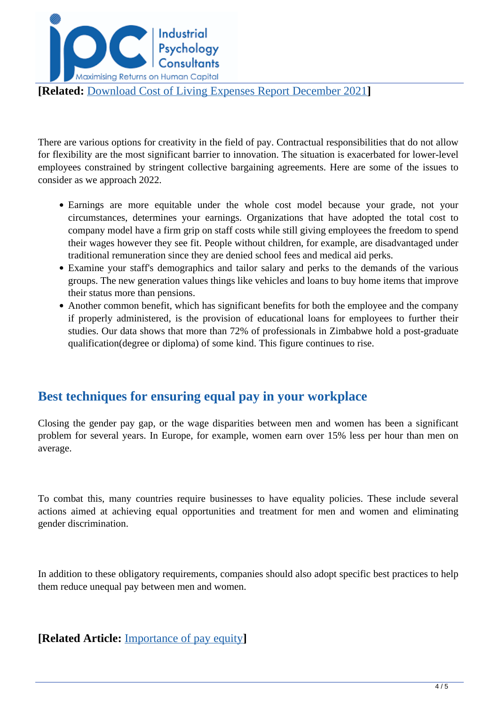

There are various options for creativity in the field of pay. Contractual responsibilities that do not allow for flexibility are the most significant barrier to innovation. The situation is exacerbated for lower-level employees constrained by stringent collective bargaining agreements. Here are some of the issues to consider as we approach 2022.

- Earnings are more equitable under the whole cost model because your grade, not your circumstances, determines your earnings. Organizations that have adopted the total cost to company model have a firm grip on staff costs while still giving employees the freedom to spend their wages however they see fit. People without children, for example, are disadvantaged under traditional remuneration since they are denied school fees and medical aid perks.
- Examine your staff's demographics and tailor salary and perks to the demands of the various groups. The new generation values things like vehicles and loans to buy home items that improve their status more than pensions.
- Another common benefit, which has significant benefits for both the employee and the company if properly administered, is the provision of educational loans for employees to further their studies. Our data shows that more than 72% of professionals in Zimbabwe hold a post-graduate qualification(degree or diploma) of some kind. This figure continues to rise.

## **Best techniques for ensuring equal pay in your workplace**

Closing the gender pay gap, or the wage disparities between men and women has been a significant problem for several years. In Europe, for example, women earn over 15% less per hour than men on average.

To combat this, many countries require businesses to have equality policies. These include several actions aimed at achieving equal opportunities and treatment for men and women and eliminating gender discrimination.

In addition to these obligatory requirements, companies should also adopt specific best practices to help them reduce unequal pay between men and women.

**[Related Article:** [Importance of pay equity](../articles/importance-of-pay-equity)**]**